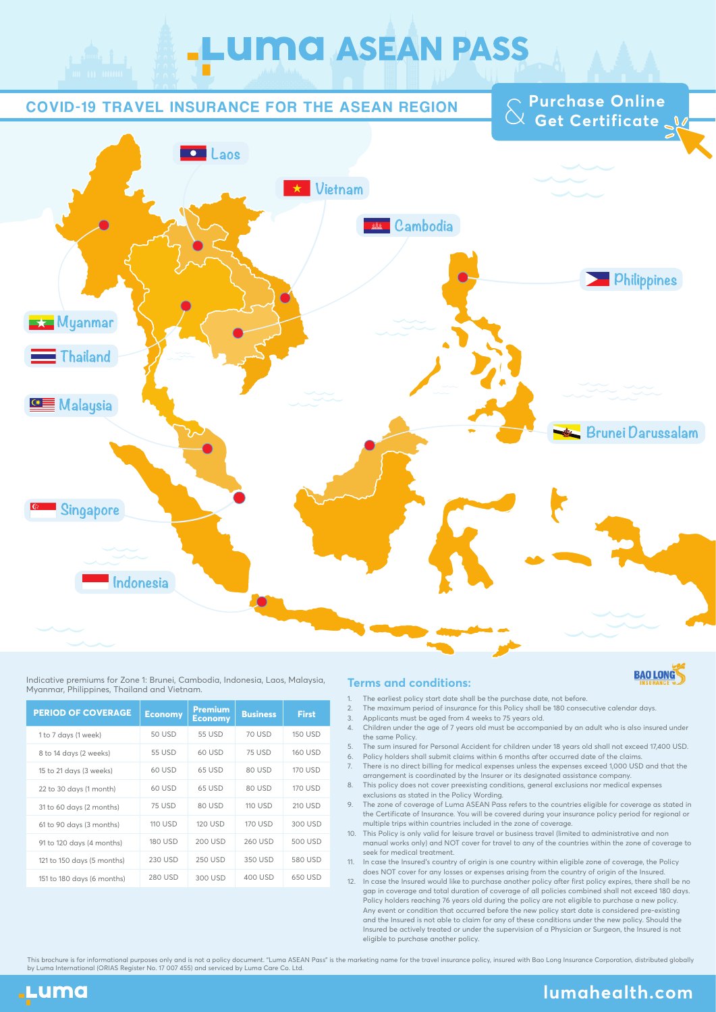# **LUMC ASEAN PASS**

#### COVID-19 TRAVEL INSURANCE FOR THE ASEAN REGION

**Purchase Online**<br>  $\begin{bmatrix} 0 & 0 \\ 0 & 0 \end{bmatrix}$ 



#### Indicative premiums for Zone 1: Brunei, Cambodia, Indonesia, Laos, Malaysia, Myanmar, Philippines, Thailand and Vietnam.

| <b>PERIOD OF COVERAGE</b>  | <b>Economy</b> | <b>Premium</b><br><b>Economy</b> | <b>Business</b> | <b>First</b>   |
|----------------------------|----------------|----------------------------------|-----------------|----------------|
| 1 to 7 days (1 week)       | 50 USD         | 55 USD                           | 70 USD          | <b>150 USD</b> |
| 8 to 14 days (2 weeks)     | <b>55 USD</b>  | 60 USD                           | <b>75 USD</b>   | <b>160 USD</b> |
| 15 to 21 days (3 weeks)    | 60 USD         | 65 USD                           | 80 USD          | <b>170 USD</b> |
| 22 to 30 days (1 month)    | 60 USD         | 65 USD                           | 80 USD          | 170 USD        |
| 31 to 60 days (2 months)   | <b>75 USD</b>  | 80 USD                           | <b>110 USD</b>  | 210 USD        |
| 61 to 90 days (3 months)   | <b>110 USD</b> | <b>120 USD</b>                   | <b>170 USD</b>  | 300 USD        |
| 91 to 120 days (4 months)  | 180 USD        | 200 USD                          | 260 USD         | 500 USD        |
| 121 to 150 days (5 months) | 230 USD        | <b>250 USD</b>                   | 350 USD         | 580 USD        |
| 151 to 180 days (6 months) | 280 USD        | 300 USD                          | 400 USD         | 650 USD        |

#### **Terms and conditions:**



- The earliest policy start date shall be the purchase date, not before. 1.
- The maximum period of insurance for this Policy shall be 180 consecutive calendar days.  $\overline{2}$
- Applicants must be aged from 4 weeks to 75 years old. 3.
- Children under the age of 7 years old must be accompanied by an adult who is also insured under the same Policy. 4.
- The sum insured for Personal Accident for children under 18 years old shall not exceed 17,400 USD. Policy holders shall submit claims within 6 months after occurred date of the claims. 5. 6.
- There is no direct billing for medical expenses unless the expenses exceed 1,000 USD and that the arrangement is coordinated by the Insurer or its designated assistance company. 7.
- This policy does not cover preexisting conditions, general exclusions nor medical expenses exclusions as stated in the Policy Wording. 8.
- The zone of coverage of Luma ASEAN Pass refers to the countries eligible for coverage as stated in the Certificate of Insurance. You will be covered during your insurance policy period for regional or multiple trips within countries included in the zone of coverage. 9.
- This Policy is only valid for leisure travel or business travel (limited to administrative and non 10. manual works only) and NOT cover for travel to any of the countries within the zone of coverage to seek for medical treatment.
- In case the Insured's country of origin is one country within eligible zone of coverage, the Policy does NOT cover for any losses or expenses arising from the country of origin of the Insured. 11.
- 12. In case the Insured would like to purchase another policy after first policy expires, there shall be no gap in coverage and total duration of coverage of all policies combined shall not exceed 180 days. Policy holders reaching 76 years old during the policy are not eligible to purchase a new policy. Any event or condition that occurred before the new policy start date is considered pre-existing and the Insured is not able to claim for any of these conditions under the new policy. Should the Insured be actively treated or under the supervision of a Physician or Surgeon, the Insured is not eligible to purchase another policy.

This brochure is for informational purposes only and is not a policy document. "Luma ASEAN Pass" is the marketing name for the travel insurance policy, insured with Bao Long Insurance Corporation, distributed globally<br>by L



### **lumahealth.com**